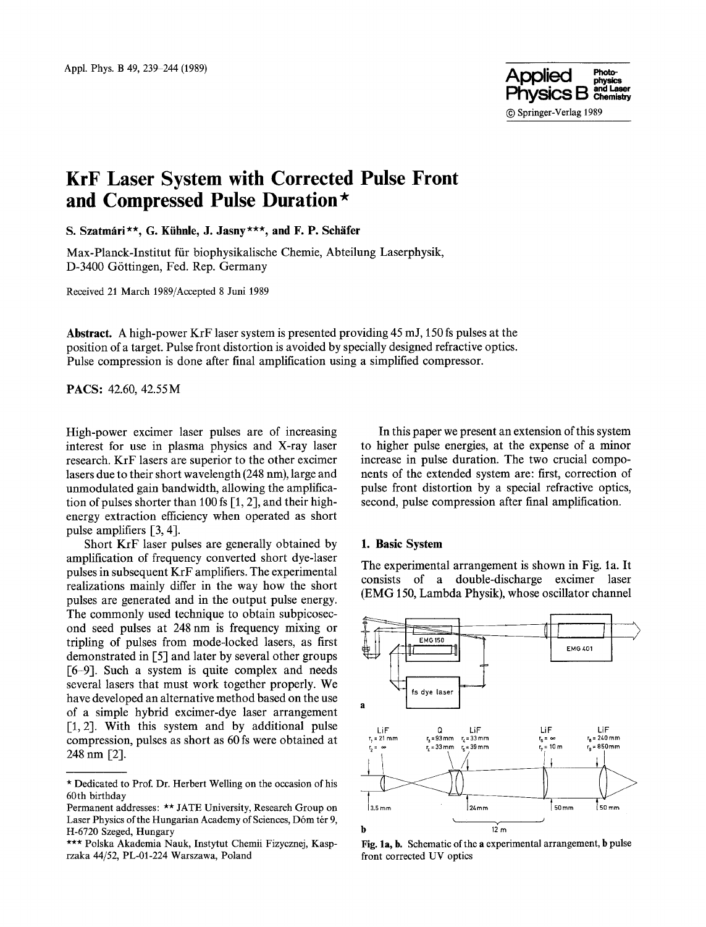

# **KrF Laser System with Corrected Pulse Front and Compressed Pulse Duration\***

S. Szatmári\*\*, G. Kühnle, J. Jasny\*\*\*, and F. P. Schäfer

Max-Planck-Institut fiir biophysikalische Chemic, Abteilung Laserphysik, D-3400 G6ttingen, Fed. Rep. Germany

Received 21 March 1989/Accepted 8 Juni 1989

**Abstract.** A high-power KrF laser system is presented providing 45 m J, 150 fs pulses at the position of a target. Pulse front distortion is avoided by specially designed refractive optics. Pulse compression is done after final amplification using a simplified compressor.

PACS: 42.60, 42.55M

High-power excimer laser pulses are of increasing interest for use in plasma physics and X-ray laser research. KrF lasers are superior to the other excimer lasers due to their short wavelength (248 nm), large and unmodulated gain bandwidth, allowing the amplification of pulses shorter than 100 fs [1, 2], and their highenergy extraction efficiency when operated as short pulse amplifiers [3, 4].

Short KrF laser pulses are generally obtained by amplification of frequency converted short dye-laser pulses in subsequent KrF amplifiers. The experimental realizations mainly differ in the way how the short pulses are generated and in the output pulse energy. The commonly used technique to obtain subpicosecond seed pulses at 248 nm is frequency mixing or tripling of pulses from mode-locked lasers, as first demonstrated in [5] and later by several other groups [6-9]. Such a system is quite complex and needs several lasers that must work together properly. We have developed an alternative method based on the use of a simple hybrid excimer-dye laser arrangement  $[1, 2]$ . With this system and by additional pulse compression, pulses as short as 60 fs were obtained at 248 nm [2].

In this paper we present an extension of this system to higher pulse energies, at the expense of a minor increase in pulse duration. The two crucial components of the extended system are: first, correction of pulse front distortion by a special refractive optics, second, pulse compression after final amplification.

## **1. Basic System**

The experimental arrangement is shown in Fig. la. It consists of a double-discharge excimer laser (EMG 150, Lambda Physik), whose oscillator channel



Fig. la, b. Schematic of the a experimental arrangement, b pulse front corrected UV optics

<sup>\*</sup> Dedicated to Prof. Dr. Herbert Welling on the occasion of his 60th birthday

Permanent addresses: \*\* JATE University, Research Group on Laser Physics of the Hungarian Academy of Sciences, Dóm tér 9, H-6720 Szeged, Hungary

<sup>\*\*\*</sup> Polska Akademia Nauk, Instytut Chemii Fizycznej, Kasprzaka 44/52, PL-01-224 Warszawa, Poland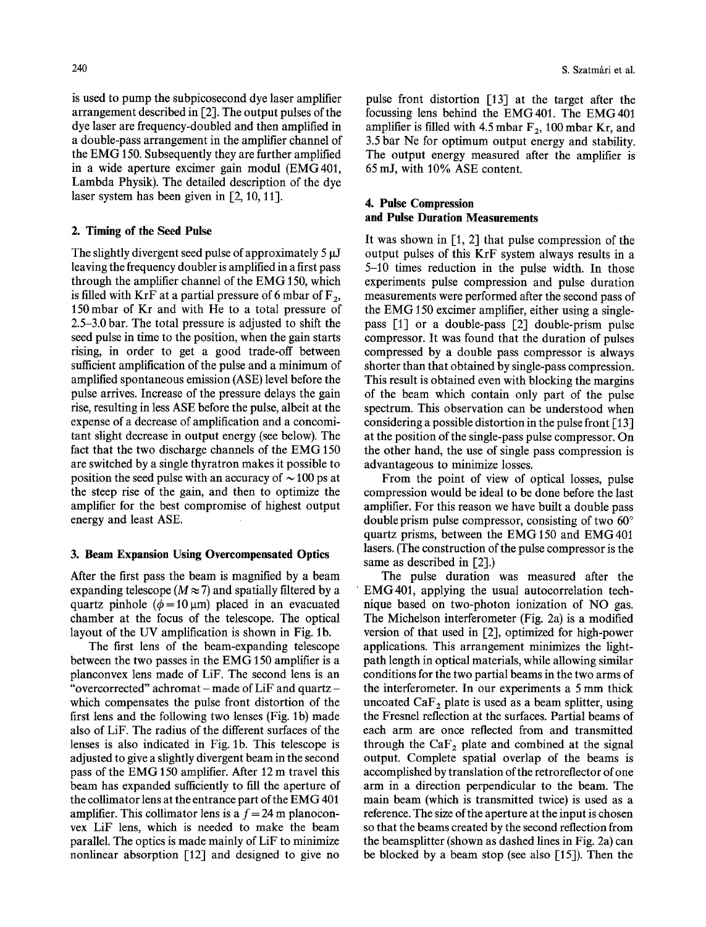is used to pump the subpicosecond dye laser amplifier arrangement described in [2]. The output pulses of the dye laser are frequency-doubled and then amplified in a double-pass arrangement in the amplifier channel of the EMG 150. Subsequently they are further amplified in a wide aperture excimer gain modul (EMG401, Lambda Physik). The detailed description of the dye laser system has been given in  $[2, 10, 11]$ .

# **2. Timing of the Seed Pulse**

The slightly divergent seed pulse of approximately 5  $\mu$ J leaving the frequency doubler is amplified in a first pass through the amplifier channel of the EMG 150, which is filled with KrF at a partial pressure of 6 mbar of  $F_2$ , 150 mbar of Kr and with He to a total pressure of 2.5-3.0 bar. The total pressure is adjusted to shift the seed pulse in time to the position, when the gain starts rising, in order to get a good trade-off between sufficient amplification of the pulse and a minimum of amplified spontaneous emission (ASE) level before the pulse arrives. Increase of the pressure delays the gain rise, resulting in less ASE before the pulse, albeit at the expense of a decrease of amplification and a concomitant slight decrease in output energy (see below). The fact that the two discharge channels of the EMG 150 are switched by a single thyratron makes it possible to position the seed pulse with an accuracy of  $\sim$  100 ps at the steep rise of the gain, and then to optimize the amplifier for the best compromise of highest output energy and least ASE.

# **3. Beam Expansion Using Overcompensated Optics**

After the first pass the beam is magnified by a beam expanding telescope ( $M \approx 7$ ) and spatially filtered by a quartz pinhole ( $\phi$ =10 µm) placed in an evacuated chamber at the focus of the telescope. The optical layout of the UV amplification is shown in Fig. lb.

The first lens of the beam-expanding telescope between the two passes in the EMG 150 amplifier is a planconvex lens made of LiF. The second lens is an "overcorrected" achromat – made of LiF and quartz – which compensates the pulse front distortion of the first lens and the following two lenses (Fig. 1b) made also of LiF. The radius of the different surfaces of the lenses is also indicated in Fig. lb. This telescope is adjusted to give a slightly divergent beam in the second pass of the EMG 150 amplifier. After 12 m travel this beam has expanded sufficiently to fill the aperture of the collimator lens at the entrance part of the EMG 401 amplifier. This collimator lens is a  $f = 24$  m planoconvex LiF lens, which is needed to make the beam parallel. The optics is made mainly of LiF to minimize nonlinear absorption  $\lceil 12 \rceil$  and designed to give no

pulse front distortion  $\lceil 13 \rceil$  at the target after the focussing lens behind the EMG401. The EMG401 amplifier is filled with 4.5 mbar  $F_2$ , 100 mbar Kr, and 3.5 bar Ne for optimum output energy and stability. The output energy measured after the amplifier is 65 mJ, with 10% ASE content.

# **4. Pulse Compression and Pulse Duration Measurements**

It was shown in  $[1, 2]$  that pulse compression of the output pulses of this KrF system always results in a 5-10 times reduction in the pulse width. In those experiments pulse compression and pulse duration measurements were performed after the second pass of the EMG 150 excimer amplifier, either using a singlepass [1] or a double-pass [2] double-prism pulse compressor. It was found that the duration of pulses compressed by a double pass compressor is always shorter than that obtained by single-pass compression. This result is obtained even with blocking the margins of the beam which contain only part of the pulse spectrum. This observation can be understood when considering a possible distortion in the pulse front  $\lceil 13 \rceil$ at the position of the single-pass pulse compressor. On the other hand, the use of single pass compression is advantageous to minimize losses.

From the point of view of optical losses, pulse compression would be ideal to be done before the last amplifier. For this reason we have built a double pass double prism pulse compressor, consisting of two  $60^\circ$ quartz prisms, between the EMG 150 and EMG401 lasers. (The construction of the pulse compressor is the same as described in [2].)

The pulse duration was measured after the EMG401, applying the usual autocorrelation technique based on two-photon ionization of **NO gas.**  The Michelson interferometer (Fig. 2a) is a modified version of that used in [2], optimized for high-power applications. This arrangement minimizes the lightpath length in optical materials, while allowing similar conditions for the two partial beams in the two arms of the interferometer. In our experiments a 5 mm thick uncoated  $CaF<sub>2</sub>$  plate is used as a beam splitter, using the Fresnel reflection at the surfaces. Partial beams of each arm are once reflected from and transmitted through the  $CaF<sub>2</sub>$  plate and combined at the signal output. Complete spatial overlap of the beams is accomplished by translation of the retroreflector of one arm in a direction perpendicular to the beam. The main beam (which is transmitted twice) is used as a reference. The size of the aperture at the input is chosen so that the beams created by the second reflection from the beamsplitter (shown as dashed lines in Fig. 2a) can be blocked by a beam stop (see also  $[15]$ ). Then the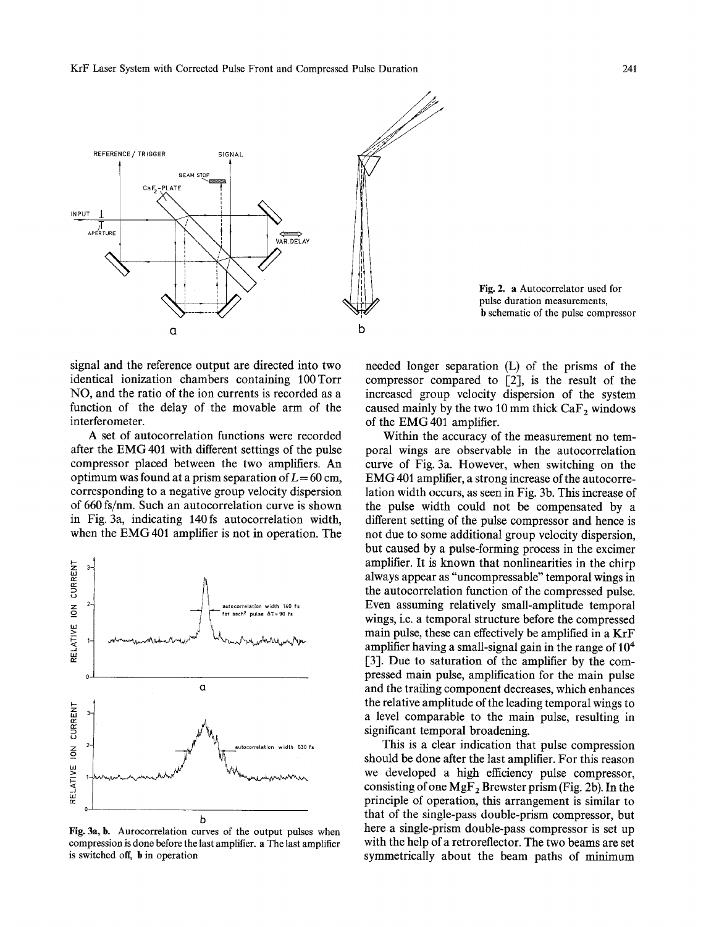KrF Laser System with Corrected Pulse Front and Compressed Pulse Duration 241



Fig. 2. a Autocorrelator used for pulse duration measurements, b schematic of the pulse compressor

signal and the reference output are directed into two identical ionization chambers containing 100Torr NO, and the ratio of the ion currents is recorded as a function of the delay of the movable arm of the interferometer.

A set of autocorrelation functions were recorded after the EMG 401 with different settings of the pulse compressor placed between the two amplifiers. An optimum was found at a prism separation of  $L = 60$  cm, corresponding to a negative group velocity dispersion of 660 fs/nm. Such an autocorrelation curve is shown in Fig. 3a, indicating 140fs autocorrelation width, when the EMG 401 amplifier is not in operation. The



Fig. 3a, b. Aurocorrelation curves of the output pulses when compression is done before the last amplifier, a The last amplifier is switched off, b in operation

needed longer separation (L) of the prisms of the compressor compared to [2], is the result of the increased group velocity dispersion of the system caused mainly by the two 10 mm thick  $CaF<sub>2</sub>$  windows of the EMG401 amplifier.

Within the accuracy of the measurement no temporal wings are observable in the autocorrelation curve of Fig. 3a. However, when switching on the EMG 401 amplifier, a strong increase of the autocorrelation width occurs, as seen in Fig. 3b. This increase of the pulse width could not be compensated by a different setting of the pulse compressor and hence is not due to some additional group velocity dispersion, but caused by a pulse-forming process in the excimer amplifier. It is known that nonlinearities in the chirp always appear as "uncompressable" temporal wings in the autocorrelation function of the compressed pulse. Even assuming relatively small-amplitude temporal wings, i.e. a temporal structure before the compressed main pulse, these can effectively be amplified in a KrF amplifier having a small-signal gain in the range of  $10<sup>4</sup>$ [3]. Due to saturation of the amplifier by the compressed main pulse, amplification for the main pulse and the trailing component decreases, which enhances the relative amplitude of the leading temporal wings to a level comparable to the main pulse, resulting in significant temporal broadening.

This is a clear indication that pulse compression should be done after the last amplifier. For this reason we developed a high efficiency pulse compressor, consisting of one  $MgF_2$  Brewster prism (Fig. 2b). In the principle of operation, this arrangement is similar to that of the single-pass double-prism compressor, but here a single-prism double-pass compressor is set up with the help of a retroreflector. The two beams are set symmetrically about the beam paths of minimum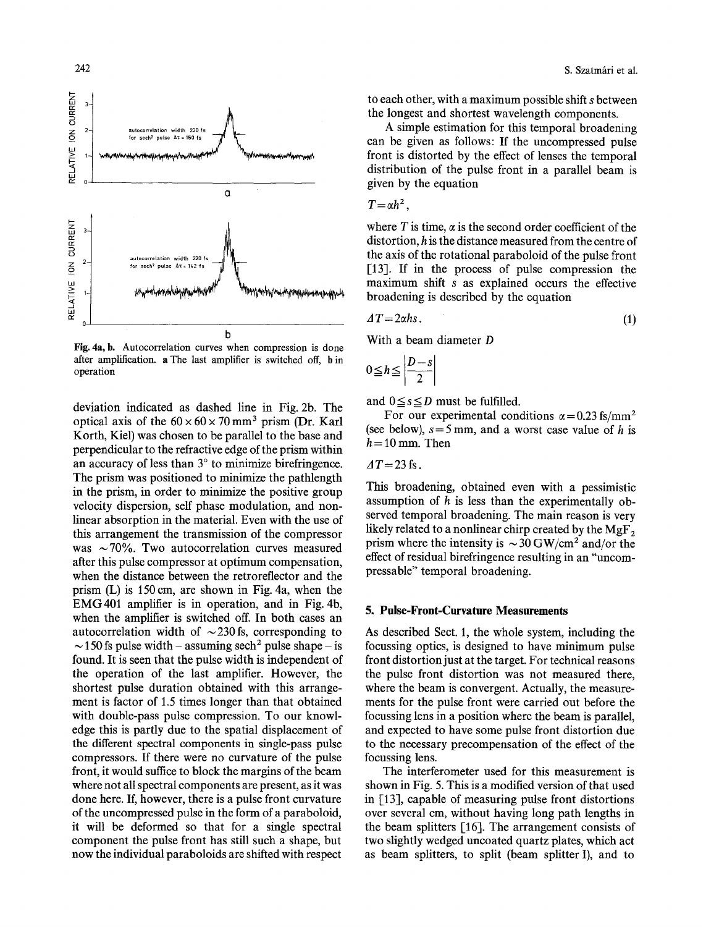

Fig. 4a, b. Autocorrelation curves when compression is done after amplification, a The last amplifier is switched off, b in operation

deviation indicated as dashed line in Fig. 2b. The optical axis of the  $60 \times 60 \times 70$  mm<sup>3</sup> prism (Dr. Karl Korth, Kiel) was chosen to be parallel to the base and perpendicular to the refractive edge of the prism within an accuracy of less than  $3^\circ$  to minimize birefringence. The prism was positioned to minimize the pathlength in the prism, in order to minimize the positive group velocity dispersion, self phase modulation, and nonlinear absorption in the material. Even with the use of this arrangement the transmission of the compressor was  $\sim$  70%. Two autocorrelation curves measured after this pulse compressor at optimum compensation, when the distance between the retroreflector and the prism  $(L)$  is 150 cm, are shown in Fig. 4a, when the EMG401 amplifier is in operation, and in Fig. 4b, when the amplifier is switched off. In both cases an autocorrelation width of  $\sim$  230 fs, corresponding to  $\sim$  150 fs pulse width – assuming sech<sup>2</sup> pulse shape – is found. It is seen that the pulse width is independent of the operation of the last amplifier. However, the shortest pulse duration obtained with this arrangement is factor of 1.5 times longer than that obtained with double-pass pulse compression. To our knowledge this is partly due to the spatial displacement of the different spectral components in single-pass pulse compressors. If there were no curvature of the pulse front, it would suffice to block the margins of the beam where not all spectral components are present, as it was done here. If, however, there is a pulse front curvature of the uncompressed pulse in the form of a paraboloid, it will be deformed so that for a single spectral component the pulse front has still such a shape, but now the individual paraboloids are shifted with respect

to each other, with a maximum possible shift s between the longest and shortest wavelength components.

A simple estimation for this temporal broadening can be given as follows: If the uncompressed pulse front is distorted by the effect of lenses the temporal distribution of the pulse front in a parallel beam is given by the equation

$$
T=\alpha h^2,
$$

where T is time,  $\alpha$  is the second order coefficient of the distortion, h is the distance measured from the centre of the axis of the rotational paraboloid of the pulse front [13]. If in the process of pulse compression the maximum shift s as explained occurs the effective broadening is described by the equation

$$
\Delta T = 2\alpha h s. \tag{1}
$$

With a beam diameter D

$$
0 \leqq h \leqq \left|\frac{D-s}{2}\right|
$$

and  $0 \leq s \leq D$  must be fulfilled.

For our experimental conditions  $\alpha$  = 0.23 fs/mm<sup>2</sup> (see below),  $s = 5$  mm, and a worst case value of h is  $h = 10$  mm. Then

 $\Delta T$  = 23 fs.

This broadening, obtained even with a pessimistic assumption of  $h$  is less than the experimentally observed temporal broadening. The main reason is very likely related to a nonlinear chirp created by the  $MgF<sub>2</sub>$ prism where the intensity is  $\sim$  30 GW/cm<sup>2</sup> and/or the effect of residual birefringence resulting in an "uncompressable" temporal broadening.

### **5. Pulse-Front-Curvature Measurements**

As described Sect. 1, the whole system, including the focussing optics, is designed to have minimum pulse front distortion just at the target. For technical reasons the pulse front distortion was not measured there, where the beam is convergent. Actually, the measurements for the pulse front were carried out before the focussing lens in a position where the beam is parallel, and expected to have some pulse front distortion due to the necessary precompensation of the effect of the focussing lens.

The interferometer used for this measurement is shown in Fig. 5. This is a modified version of that used in [13], capable of measuring pulse front distortions over several cm, without having long path lengths in the beam splitters [16]. The arrangement consists of two slightly wedged uncoated quartz plates, which act as beam splitters, to split (beam splitter I), and to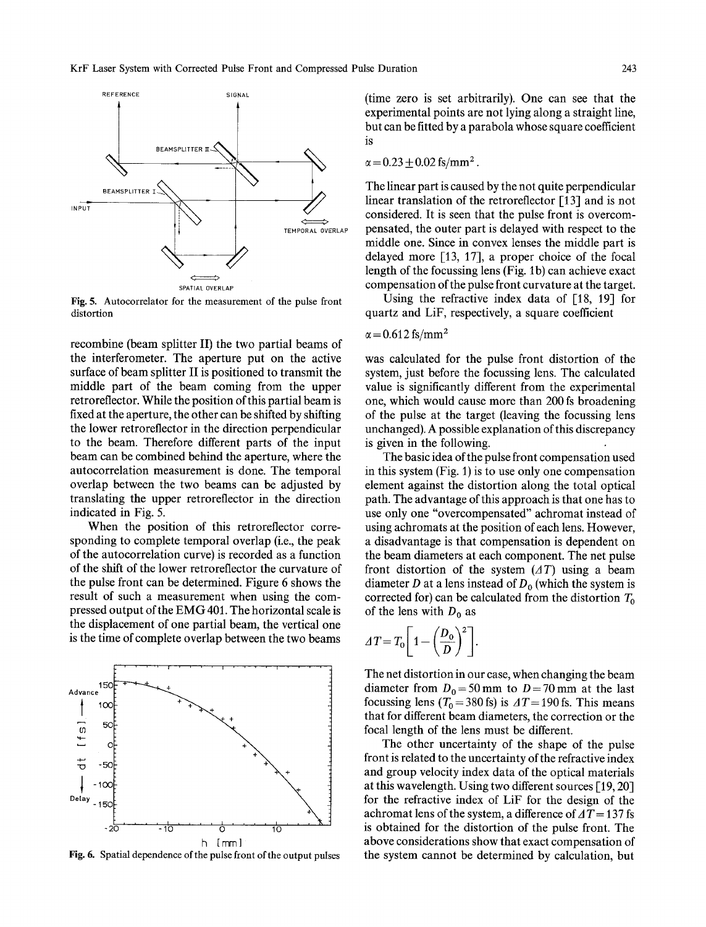

Fig. 5. Autocorrelator for the measurement of the pulse front distortion

recombine (beam splitter II) the two partial beams of the interferometer. The aperture put on the active surface of beam splitter II is positioned to transmit the middle part of the beam coming from the upper retroreflector. While the position of this partial beam is fixed at the aperture, the other can be shifted by shifting the lower retroreflector in the direction perpendicular to the beam. Therefore different parts of the input beam can be combined behind the aperture, where the autocorrelation measurement is done. The temporal overlap between the two beams can be adjusted by translating the upper retroreflector in the direction indicated in Fig. 5.

When the position of this retroreflector corresponding to complete temporal overlap (i.e., the peak of the autocorrelation curve) is recorded as a function of the shift of the lower retroreflector the curvature of the pulse front can be determined. Figure 6 shows the result of such a measurement when using the compressed output of the EMG 401. The horizontal scale is the displacement of one partial beam, the vertical one is the time of complete overlap between the two beams



Fig. 6. Spatial dependence of the pulse front of the output pulses

(time zero is set arbitrarily). One can see that the experimental points are not lying along a straight line, but can be fitted by a parabola whose square coefficient is

$$
\alpha = 0.23 \pm 0.02
$$
 fs/mm<sup>2</sup>.

The linear part is caused by the not quite perpendicular linear translation of the retroreflector  $\lceil 13 \rceil$  and is not considered. It is seen that the pulse front is overcompensated, the outer part is delayed with respect to the middle one. Since in convex lenses the middle part is delayed more  $[13, 17]$ , a proper choice of the focal length of the focussing lens (Fig. 1b) can achieve exact compensation of the pulse front curvature at the target.

Using the refractive index data of [18, 19] for quartz and LiF, respectively, a square coefficient

$$
\alpha = 0.612 \text{ fs/mm}^2
$$

was calculated for the pulse front distortion of the system, just before the focussing lens. The calculated value is significantly different from the experimental one, which would cause more than 200 fs broadening of the pulse at the target (leaving the focussing lens unchanged). A possible explanation of this discrepancy is given in the following.

The basic idea of the pulse front compensation used in this system (Fig. 1) is to use only one compensation element against the distortion along the total optical path. The advantage of this approach is that one has to use only one "overcompensated" achromat instead of using achromats at the position of each lens. However, a disadvantage is that compensation is dependent on the beam diameters at each component. The net pulse front distortion of the system *(AT)* using a beam diameter D at a lens instead of  $D_0$  (which the system is corrected for) can be calculated from the distortion  $T_0$ of the lens with  $D_0$  as

$$
\Delta T = T_0 \left[ 1 - \left( \frac{D_0}{D} \right)^2 \right].
$$

The net distortion in our case, when changing the beam diameter from  $D_0 = 50$  mm to  $D = 70$  mm at the last focussing lens ( $T_0 = 380$  fs) is  $\Delta T = 190$  fs. This means that for different beam diameters, the correction or the focal length of the lens must be different.

The other uncertainty of the shape of the pulse front is related to the uncertainty of the refractive index and group velocity index data of the optical materials at this wavelength. Using two different sources  $[19, 20]$ for the refractive index of LiF for the design of the achromat lens of the system, a difference of  $\Delta T = 137$  fs is obtained for the distortion of the pulse front. The above considerations show that exact compensation of the system cannot be determined by calculation, but